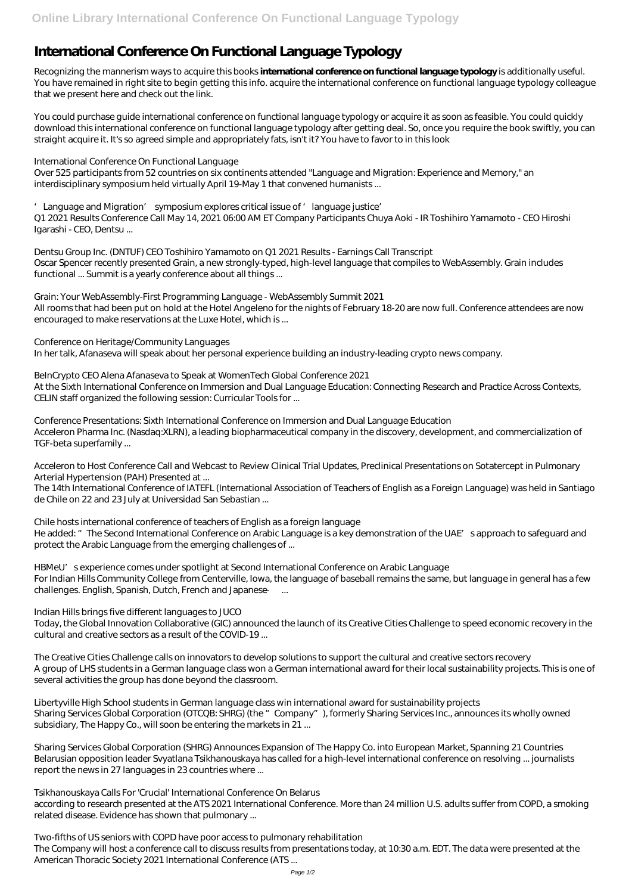# **International Conference On Functional Language Typology**

Recognizing the mannerism ways to acquire this books **international conference on functional language typology** is additionally useful. You have remained in right site to begin getting this info. acquire the international conference on functional language typology colleague that we present here and check out the link.

You could purchase guide international conference on functional language typology or acquire it as soon as feasible. You could quickly download this international conference on functional language typology after getting deal. So, once you require the book swiftly, you can straight acquire it. It's so agreed simple and appropriately fats, isn't it? You have to favor to in this look

#### *International Conference On Functional Language*

Over 525 participants from 52 countries on six continents attended "Language and Migration: Experience and Memory," an interdisciplinary symposium held virtually April 19-May 1 that convened humanists ...

# *'Language and Migration' symposium explores critical issue of 'language justice'*

Q1 2021 Results Conference Call May 14, 2021 06:00 AM ET Company Participants Chuya Aoki - IR Toshihiro Yamamoto - CEO Hiroshi Igarashi - CEO, Dentsu ...

*Dentsu Group Inc. (DNTUF) CEO Toshihiro Yamamoto on Q1 2021 Results - Earnings Call Transcript* Oscar Spencer recently presented Grain, a new strongly-typed, high-level language that compiles to WebAssembly. Grain includes functional ... Summit is a yearly conference about all things ...

He added: " The Second International Conference on Arabic Language is a key demonstration of the UAE's approach to safeguard and protect the Arabic Language from the emerging challenges of ...

# *Grain: Your WebAssembly-First Programming Language - WebAssembly Summit 2021*

All rooms that had been put on hold at the Hotel Angeleno for the nights of February 18-20 are now full. Conference attendees are now encouraged to make reservations at the Luxe Hotel, which is ...

# *Conference on Heritage/Community Languages*

In her talk, Afanaseva will speak about her personal experience building an industry-leading crypto news company.

# *BeInCrypto CEO Alena Afanaseva to Speak at WomenTech Global Conference 2021*

At the Sixth International Conference on Immersion and Dual Language Education: Connecting Research and Practice Across Contexts, CELIN staff organized the following session: Curricular Tools for ...

#### *Conference Presentations: Sixth International Conference on Immersion and Dual Language Education* Acceleron Pharma Inc. (Nasdaq:XLRN), a leading biopharmaceutical company in the discovery, development, and commercialization of TGF-beta superfamily ...

# *Acceleron to Host Conference Call and Webcast to Review Clinical Trial Updates, Preclinical Presentations on Sotatercept in Pulmonary Arterial Hypertension (PAH) Presented at ...*

The 14th International Conference of IATEFL (International Association of Teachers of English as a Foreign Language) was held in Santiago de Chile on 22 and 23 July at Universidad San Sebastian ...

# *Chile hosts international conference of teachers of English as a foreign language*

# *HBMeU's experience comes under spotlight at Second International Conference on Arabic Language*

For Indian Hills Community College from Centerville, Iowa, the language of baseball remains the same, but language in general has a few challenges. English, Spanish, Dutch, French and Japanese — ...

# *Indian Hills brings five different languages to JUCO*

Today, the Global Innovation Collaborative (GIC) announced the launch of its Creative Cities Challenge to speed economic recovery in the cultural and creative sectors as a result of the COVID-19 ...

*The Creative Cities Challenge calls on innovators to develop solutions to support the cultural and creative sectors recovery* A group of LHS students in a German language class won a German international award for their local sustainability projects. This is one of

several activities the group has done beyond the classroom.

*Libertyville High School students in German language class win international award for sustainability projects* Sharing Services Global Corporation (OTCQB: SHRG) (the "Company"), formerly Sharing Services Inc., announces its wholly owned subsidiary, The Happy Co., will soon be entering the markets in 21 ...

*Sharing Services Global Corporation (SHRG) Announces Expansion of The Happy Co. into European Market, Spanning 21 Countries* Belarusian opposition leader Svyatlana Tsikhanouskaya has called for a high-level international conference on resolving ... journalists report the news in 27 languages in 23 countries where ...

*Tsikhanouskaya Calls For 'Crucial' International Conference On Belarus* according to research presented at the ATS 2021 International Conference. More than 24 million U.S. adults suffer from COPD, a smoking related disease. Evidence has shown that pulmonary ...

*Two-fifths of US seniors with COPD have poor access to pulmonary rehabilitation* The Company will host a conference call to discuss results from presentations today, at 10:30 a.m. EDT. The data were presented at the American Thoracic Society 2021 International Conference (ATS ...